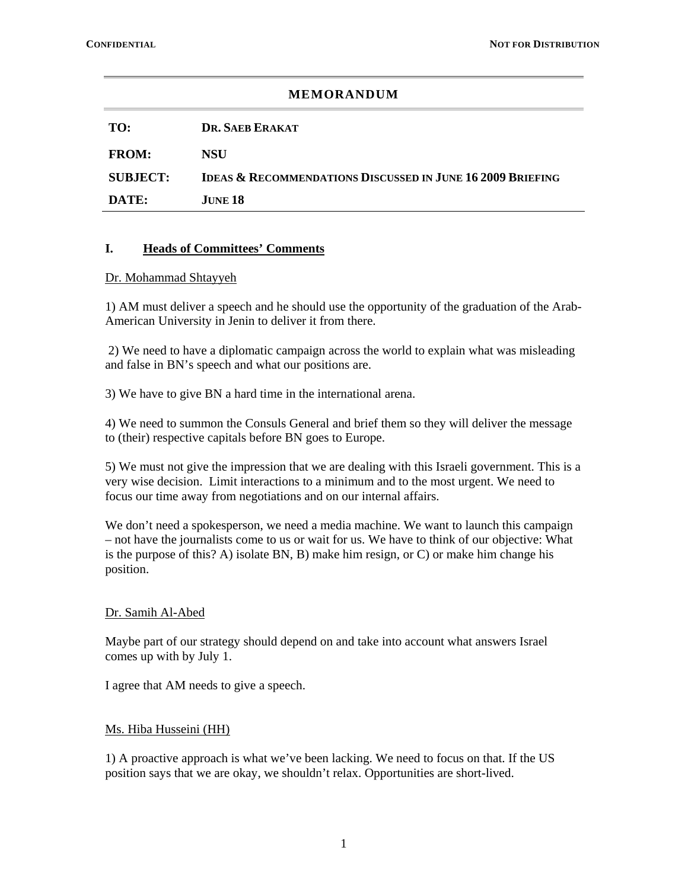| <b>MEMORANDUM</b> |                                                                       |
|-------------------|-----------------------------------------------------------------------|
| TO:               | DR. SAER ERAKAT                                                       |
| <b>FROM:</b>      | <b>NSU</b>                                                            |
| <b>SUBJECT:</b>   | <b>IDEAS &amp; RECOMMENDATIONS DISCUSSED IN JUNE 16 2009 BRIEFING</b> |
| DATE:             | JUNE 18                                                               |
|                   |                                                                       |

## **I. Heads of Committees' Comments**

#### Dr. Mohammad Shtayyeh

1) AM must deliver a speech and he should use the opportunity of the graduation of the Arab-American University in Jenin to deliver it from there.

 2) We need to have a diplomatic campaign across the world to explain what was misleading and false in BN's speech and what our positions are.

3) We have to give BN a hard time in the international arena.

4) We need to summon the Consuls General and brief them so they will deliver the message to (their) respective capitals before BN goes to Europe.

5) We must not give the impression that we are dealing with this Israeli government. This is a very wise decision. Limit interactions to a minimum and to the most urgent. We need to focus our time away from negotiations and on our internal affairs.

We don't need a spokesperson, we need a media machine. We want to launch this campaign – not have the journalists come to us or wait for us. We have to think of our objective: What is the purpose of this? A) isolate BN, B) make him resign, or C) or make him change his position.

### Dr. Samih Al-Abed

Maybe part of our strategy should depend on and take into account what answers Israel comes up with by July 1.

I agree that AM needs to give a speech.

### Ms. Hiba Husseini (HH)

1) A proactive approach is what we've been lacking. We need to focus on that. If the US position says that we are okay, we shouldn't relax. Opportunities are short-lived.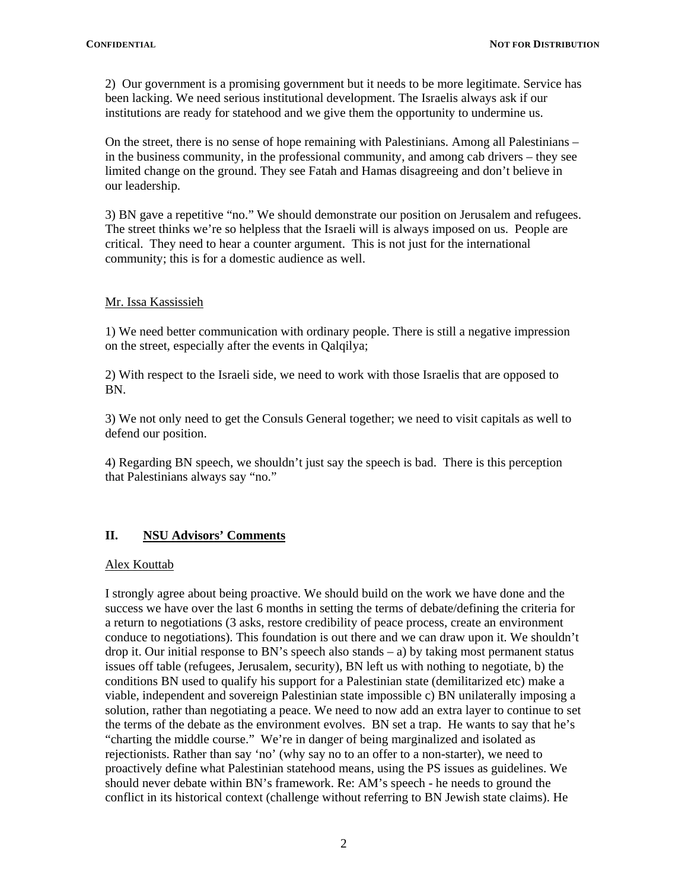2) Our government is a promising government but it needs to be more legitimate. Service has been lacking. We need serious institutional development. The Israelis always ask if our institutions are ready for statehood and we give them the opportunity to undermine us.

On the street, there is no sense of hope remaining with Palestinians. Among all Palestinians – in the business community, in the professional community, and among cab drivers – they see limited change on the ground. They see Fatah and Hamas disagreeing and don't believe in our leadership.

3) BN gave a repetitive "no." We should demonstrate our position on Jerusalem and refugees. The street thinks we're so helpless that the Israeli will is always imposed on us. People are critical. They need to hear a counter argument. This is not just for the international community; this is for a domestic audience as well.

## Mr. Issa Kassissieh

1) We need better communication with ordinary people. There is still a negative impression on the street, especially after the events in Qalqilya;

2) With respect to the Israeli side, we need to work with those Israelis that are opposed to BN.

3) We not only need to get the Consuls General together; we need to visit capitals as well to defend our position.

4) Regarding BN speech, we shouldn't just say the speech is bad. There is this perception that Palestinians always say "no."

# **II. NSU Advisors' Comments**

### Alex Kouttab

I strongly agree about being proactive. We should build on the work we have done and the success we have over the last 6 months in setting the terms of debate/defining the criteria for a return to negotiations (3 asks, restore credibility of peace process, create an environment conduce to negotiations). This foundation is out there and we can draw upon it. We shouldn't drop it. Our initial response to BN's speech also stands – a) by taking most permanent status issues off table (refugees, Jerusalem, security), BN left us with nothing to negotiate, b) the conditions BN used to qualify his support for a Palestinian state (demilitarized etc) make a viable, independent and sovereign Palestinian state impossible c) BN unilaterally imposing a solution, rather than negotiating a peace. We need to now add an extra layer to continue to set the terms of the debate as the environment evolves. BN set a trap. He wants to say that he's "charting the middle course." We're in danger of being marginalized and isolated as rejectionists. Rather than say 'no' (why say no to an offer to a non-starter), we need to proactively define what Palestinian statehood means, using the PS issues as guidelines. We should never debate within BN's framework. Re: AM's speech - he needs to ground the conflict in its historical context (challenge without referring to BN Jewish state claims). He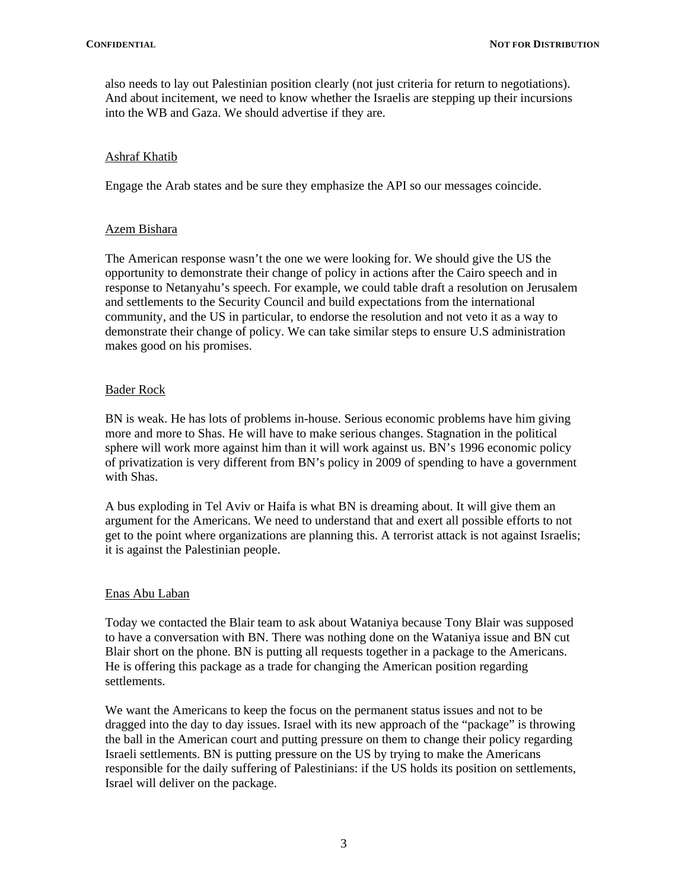also needs to lay out Palestinian position clearly (not just criteria for return to negotiations). And about incitement, we need to know whether the Israelis are stepping up their incursions into the WB and Gaza. We should advertise if they are.

## Ashraf Khatib

Engage the Arab states and be sure they emphasize the API so our messages coincide.

## Azem Bishara

The American response wasn't the one we were looking for. We should give the US the opportunity to demonstrate their change of policy in actions after the Cairo speech and in response to Netanyahu's speech. For example, we could table draft a resolution on Jerusalem and settlements to the Security Council and build expectations from the international community, and the US in particular, to endorse the resolution and not veto it as a way to demonstrate their change of policy. We can take similar steps to ensure U.S administration makes good on his promises.

## Bader Rock

BN is weak. He has lots of problems in-house. Serious economic problems have him giving more and more to Shas. He will have to make serious changes. Stagnation in the political sphere will work more against him than it will work against us. BN's 1996 economic policy of privatization is very different from BN's policy in 2009 of spending to have a government with Shas.

A bus exploding in Tel Aviv or Haifa is what BN is dreaming about. It will give them an argument for the Americans. We need to understand that and exert all possible efforts to not get to the point where organizations are planning this. A terrorist attack is not against Israelis; it is against the Palestinian people.

### Enas Abu Laban

Today we contacted the Blair team to ask about Wataniya because Tony Blair was supposed to have a conversation with BN. There was nothing done on the Wataniya issue and BN cut Blair short on the phone. BN is putting all requests together in a package to the Americans. He is offering this package as a trade for changing the American position regarding settlements.

We want the Americans to keep the focus on the permanent status issues and not to be dragged into the day to day issues. Israel with its new approach of the "package" is throwing the ball in the American court and putting pressure on them to change their policy regarding Israeli settlements. BN is putting pressure on the US by trying to make the Americans responsible for the daily suffering of Palestinians: if the US holds its position on settlements, Israel will deliver on the package.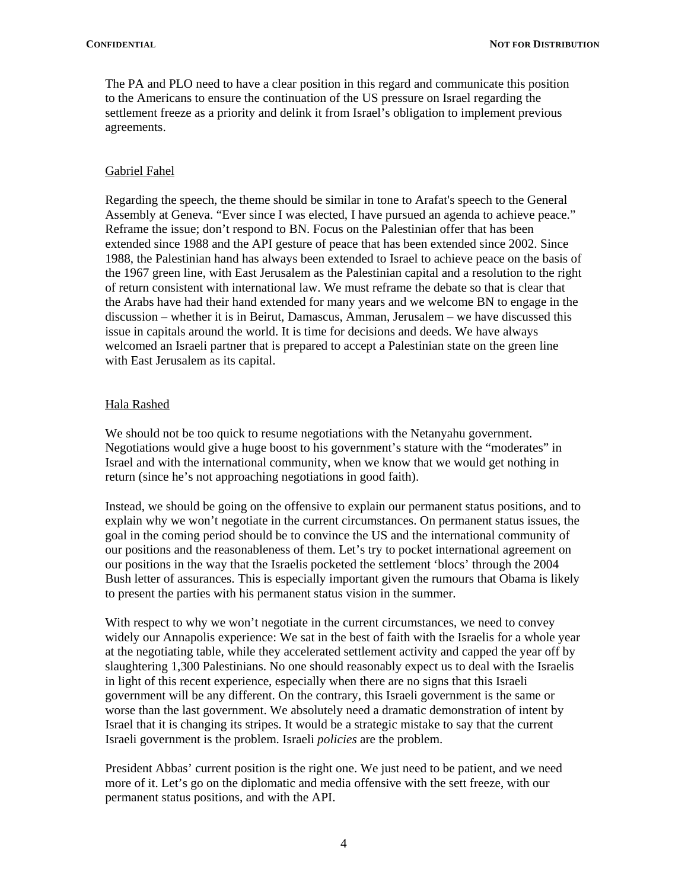The PA and PLO need to have a clear position in this regard and communicate this position to the Americans to ensure the continuation of the US pressure on Israel regarding the settlement freeze as a priority and delink it from Israel's obligation to implement previous agreements.

### Gabriel Fahel

Regarding the speech, the theme should be similar in tone to Arafat's speech to the General Assembly at Geneva. "Ever since I was elected, I have pursued an agenda to achieve peace." Reframe the issue; don't respond to BN. Focus on the Palestinian offer that has been extended since 1988 and the API gesture of peace that has been extended since 2002. Since 1988, the Palestinian hand has always been extended to Israel to achieve peace on the basis of the 1967 green line, with East Jerusalem as the Palestinian capital and a resolution to the right of return consistent with international law. We must reframe the debate so that is clear that the Arabs have had their hand extended for many years and we welcome BN to engage in the discussion – whether it is in Beirut, Damascus, Amman, Jerusalem – we have discussed this issue in capitals around the world. It is time for decisions and deeds. We have always welcomed an Israeli partner that is prepared to accept a Palestinian state on the green line with East Jerusalem as its capital.

## Hala Rashed

We should not be too quick to resume negotiations with the Netanyahu government. Negotiations would give a huge boost to his government's stature with the "moderates" in Israel and with the international community, when we know that we would get nothing in return (since he's not approaching negotiations in good faith).

Instead, we should be going on the offensive to explain our permanent status positions, and to explain why we won't negotiate in the current circumstances. On permanent status issues, the goal in the coming period should be to convince the US and the international community of our positions and the reasonableness of them. Let's try to pocket international agreement on our positions in the way that the Israelis pocketed the settlement 'blocs' through the 2004 Bush letter of assurances. This is especially important given the rumours that Obama is likely to present the parties with his permanent status vision in the summer.

With respect to why we won't negotiate in the current circumstances, we need to convey widely our Annapolis experience: We sat in the best of faith with the Israelis for a whole year at the negotiating table, while they accelerated settlement activity and capped the year off by slaughtering 1,300 Palestinians. No one should reasonably expect us to deal with the Israelis in light of this recent experience, especially when there are no signs that this Israeli government will be any different. On the contrary, this Israeli government is the same or worse than the last government. We absolutely need a dramatic demonstration of intent by Israel that it is changing its stripes. It would be a strategic mistake to say that the current Israeli government is the problem. Israeli *policies* are the problem.

President Abbas' current position is the right one. We just need to be patient, and we need more of it. Let's go on the diplomatic and media offensive with the sett freeze, with our permanent status positions, and with the API.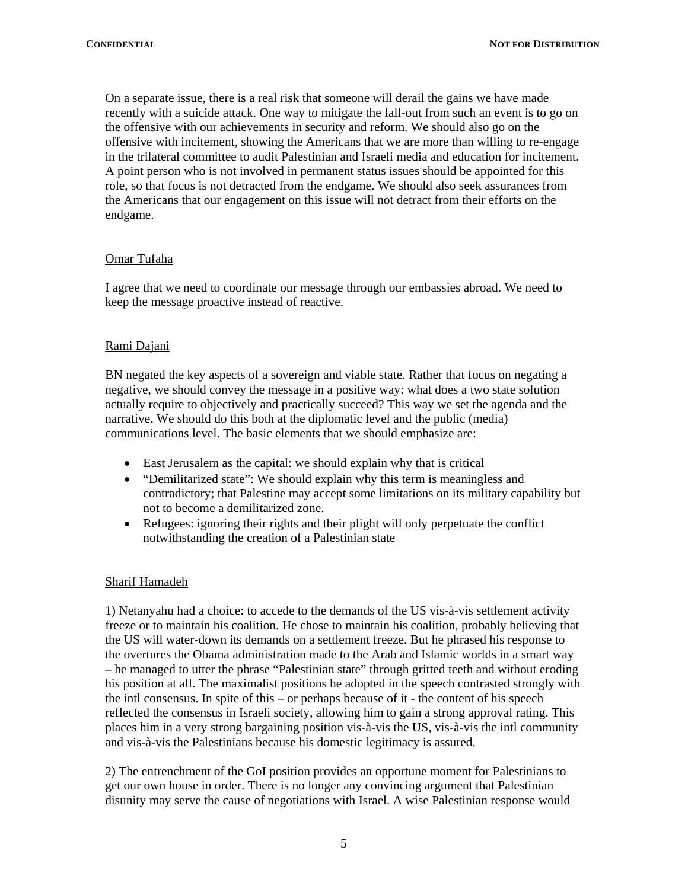On a separate issue, there is a real risk that someone will derail the gains we have made recently with a suicide attack. One way to mitigate the fall-out from such an event is to go on the offensive with our achievements in security and reform. We should also go on the offensive with incitement, showing the Americans that we are more than willing to re-engage in the trilateral committee to audit Palestinian and Israeli media and education for incitement. A point person who is not involved in permanent status issues should be appointed for this role, so that focus is not detracted from the endgame. We should also seek assurances from the Americans that our engagement on this issue will not detract from their efforts on the endgame.

### Omar Tufaha

I agree that we need to coordinate our message through our embassies abroad. We need to keep the message proactive instead of reactive.

## Rami Dajani

BN negated the key aspects of a sovereign and viable state. Rather that focus on negating a negative, we should convey the message in a positive way: what does a two state solution actually require to objectively and practically succeed? This way we set the agenda and the narrative. We should do this both at the diplomatic level and the public (media) communications level. The basic elements that we should emphasize are:

- East Jerusalem as the capital: we should explain why that is critical
- "Demilitarized state": We should explain why this term is meaningless and contradictory; that Palestine may accept some limitations on its military capability but not to become a demilitarized zone.
- Refugees: ignoring their rights and their plight will only perpetuate the conflict notwithstanding the creation of a Palestinian state

### Sharif Hamadeh

1) Netanyahu had a choice: to accede to the demands of the US vis-à-vis settlement activity freeze or to maintain his coalition. He chose to maintain his coalition, probably believing that the US will water-down its demands on a settlement freeze. But he phrased his response to the overtures the Obama administration made to the Arab and Islamic worlds in a smart way – he managed to utter the phrase "Palestinian state" through gritted teeth and without eroding his position at all. The maximalist positions he adopted in the speech contrasted strongly with the intl consensus. In spite of this – or perhaps because of it - the content of his speech reflected the consensus in Israeli society, allowing him to gain a strong approval rating. This places him in a very strong bargaining position vis-à-vis the US, vis-à-vis the intl community and vis-à-vis the Palestinians because his domestic legitimacy is assured.

2) The entrenchment of the GoI position provides an opportune moment for Palestinians to get our own house in order. There is no longer any convincing argument that Palestinian disunity may serve the cause of negotiations with Israel. A wise Palestinian response would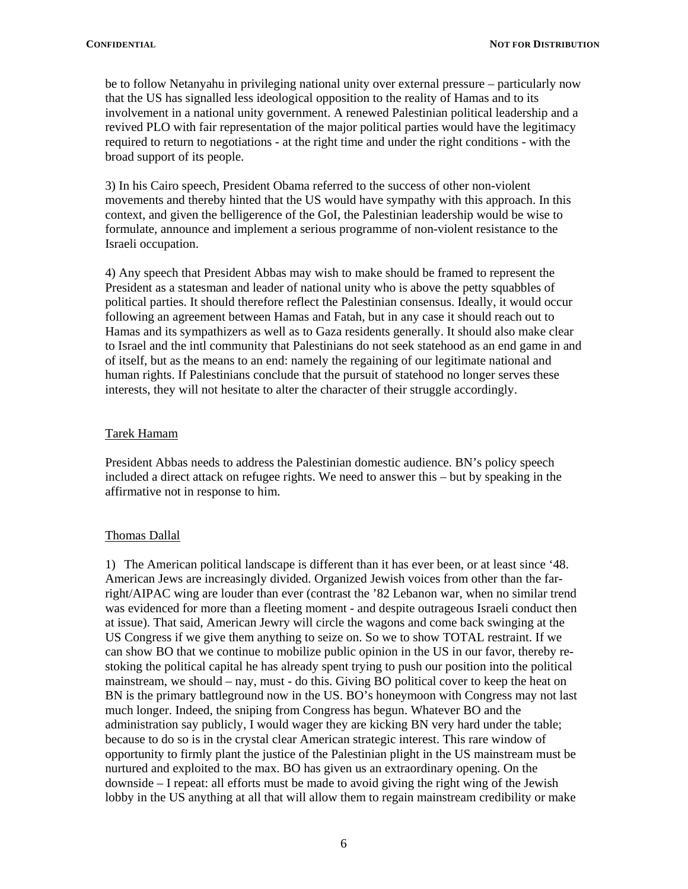be to follow Netanyahu in privileging national unity over external pressure – particularly now that the US has signalled less ideological opposition to the reality of Hamas and to its involvement in a national unity government. A renewed Palestinian political leadership and a revived PLO with fair representation of the major political parties would have the legitimacy required to return to negotiations - at the right time and under the right conditions - with the broad support of its people.

3) In his Cairo speech, President Obama referred to the success of other non-violent movements and thereby hinted that the US would have sympathy with this approach. In this context, and given the belligerence of the GoI, the Palestinian leadership would be wise to formulate, announce and implement a serious programme of non-violent resistance to the Israeli occupation.

4) Any speech that President Abbas may wish to make should be framed to represent the President as a statesman and leader of national unity who is above the petty squabbles of political parties. It should therefore reflect the Palestinian consensus. Ideally, it would occur following an agreement between Hamas and Fatah, but in any case it should reach out to Hamas and its sympathizers as well as to Gaza residents generally. It should also make clear to Israel and the intl community that Palestinians do not seek statehood as an end game in and of itself, but as the means to an end: namely the regaining of our legitimate national and human rights. If Palestinians conclude that the pursuit of statehood no longer serves these interests, they will not hesitate to alter the character of their struggle accordingly.

### Tarek Hamam

President Abbas needs to address the Palestinian domestic audience. BN's policy speech included a direct attack on refugee rights. We need to answer this – but by speaking in the affirmative not in response to him.

### Thomas Dallal

1) The American political landscape is different than it has ever been, or at least since '48. American Jews are increasingly divided. Organized Jewish voices from other than the farright/AIPAC wing are louder than ever (contrast the '82 Lebanon war, when no similar trend was evidenced for more than a fleeting moment - and despite outrageous Israeli conduct then at issue). That said, American Jewry will circle the wagons and come back swinging at the US Congress if we give them anything to seize on. So we to show TOTAL restraint. If we can show BO that we continue to mobilize public opinion in the US in our favor, thereby restoking the political capital he has already spent trying to push our position into the political mainstream, we should – nay, must - do this. Giving BO political cover to keep the heat on BN is the primary battleground now in the US. BO's honeymoon with Congress may not last much longer. Indeed, the sniping from Congress has begun. Whatever BO and the administration say publicly, I would wager they are kicking BN very hard under the table; because to do so is in the crystal clear American strategic interest. This rare window of opportunity to firmly plant the justice of the Palestinian plight in the US mainstream must be nurtured and exploited to the max. BO has given us an extraordinary opening. On the downside – I repeat: all efforts must be made to avoid giving the right wing of the Jewish lobby in the US anything at all that will allow them to regain mainstream credibility or make